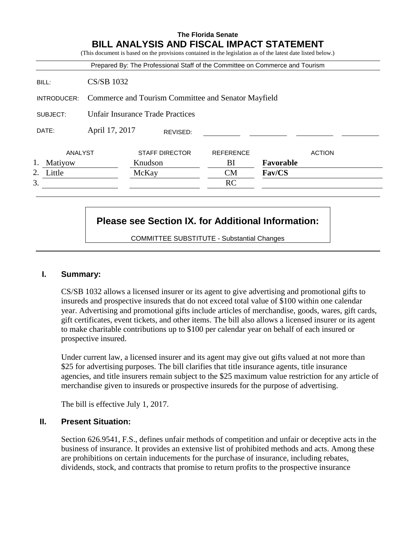|              |                                                     | Prepared By: The Professional Staff of the Committee on Commerce and Tourism |                  |               |
|--------------|-----------------------------------------------------|------------------------------------------------------------------------------|------------------|---------------|
| BILL:        | <b>CS/SB 1032</b>                                   |                                                                              |                  |               |
| INTRODUCER:  | Commerce and Tourism Committee and Senator Mayfield |                                                                              |                  |               |
| SUBJECT:     | <b>Unfair Insurance Trade Practices</b>             |                                                                              |                  |               |
| DATE:        | April 17, 2017                                      | REVISED:                                                                     |                  |               |
| ANALYST      |                                                     | <b>STAFF DIRECTOR</b>                                                        | <b>REFERENCE</b> | <b>ACTION</b> |
| Matiyow      |                                                     | Knudson                                                                      | BI               | Favorable     |
| 2.<br>Little |                                                     | McKay                                                                        | <b>CM</b>        | Fav/CS        |
| 3.           |                                                     |                                                                              | RC               |               |

# **Please see Section IX. for Additional Information:**

COMMITTEE SUBSTITUTE - Substantial Changes

## **I. Summary:**

CS/SB 1032 allows a licensed insurer or its agent to give advertising and promotional gifts to insureds and prospective insureds that do not exceed total value of \$100 within one calendar year. Advertising and promotional gifts include articles of merchandise, goods, wares, gift cards, gift certificates, event tickets, and other items. The bill also allows a licensed insurer or its agent to make charitable contributions up to \$100 per calendar year on behalf of each insured or prospective insured.

Under current law, a licensed insurer and its agent may give out gifts valued at not more than \$25 for advertising purposes. The bill clarifies that title insurance agents, title insurance agencies, and title insurers remain subject to the \$25 maximum value restriction for any article of merchandise given to insureds or prospective insureds for the purpose of advertising.

The bill is effective July 1, 2017.

## **II. Present Situation:**

Section 626.9541, F.S., defines unfair methods of competition and unfair or deceptive acts in the business of insurance. It provides an extensive list of prohibited methods and acts. Among these are prohibitions on certain inducements for the purchase of insurance, including rebates, dividends, stock, and contracts that promise to return profits to the prospective insurance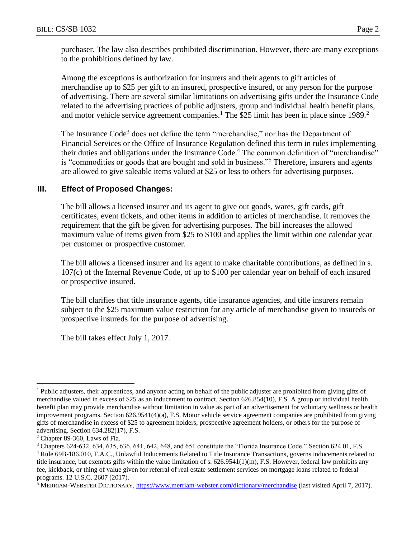purchaser. The law also describes prohibited discrimination. However, there are many exceptions to the prohibitions defined by law.

Among the exceptions is authorization for insurers and their agents to gift articles of merchandise up to \$25 per gift to an insured, prospective insured, or any person for the purpose of advertising. There are several similar limitations on advertising gifts under the Insurance Code related to the advertising practices of public adjusters, group and individual health benefit plans, and motor vehicle service agreement companies.<sup>1</sup> The \$25 limit has been in place since 1989.<sup>2</sup>

The Insurance Code<sup>3</sup> does not define the term "merchandise," nor has the Department of Financial Services or the Office of Insurance Regulation defined this term in rules implementing their duties and obligations under the Insurance Code.<sup>4</sup> The common definition of "merchandise" is "commodities or goods that are bought and sold in business."<sup>5</sup> Therefore, insurers and agents are allowed to give saleable items valued at \$25 or less to others for advertising purposes.

#### **III. Effect of Proposed Changes:**

The bill allows a licensed insurer and its agent to give out goods, wares, gift cards, gift certificates, event tickets, and other items in addition to articles of merchandise. It removes the requirement that the gift be given for advertising purposes. The bill increases the allowed maximum value of items given from \$25 to \$100 and applies the limit within one calendar year per customer or prospective customer.

The bill allows a licensed insurer and its agent to make charitable contributions, as defined in s. 107(c) of the Internal Revenue Code, of up to \$100 per calendar year on behalf of each insured or prospective insured.

The bill clarifies that title insurance agents, title insurance agencies, and title insurers remain subject to the \$25 maximum value restriction for any article of merchandise given to insureds or prospective insureds for the purpose of advertising.

The bill takes effect July 1, 2017.

 $\overline{a}$ 

<sup>&</sup>lt;sup>1</sup> Public adjusters, their apprentices, and anyone acting on behalf of the public adjuster are prohibited from giving gifts of merchandise valued in excess of \$25 as an inducement to contract. Section 626.854(10), F.S. A group or individual health benefit plan may provide merchandise without limitation in value as part of an advertisement for voluntary wellness or health improvement programs. Section 626.9541(4)(a), F.S. Motor vehicle service agreement companies are prohibited from giving gifts of merchandise in excess of \$25 to agreement holders, prospective agreement holders, or others for the purpose of advertising. Section 634.282(17), F.S.

<sup>2</sup> Chapter 89-360, Laws of Fla.

<sup>3</sup> Chapters 624-632, 634, 635, 636, 641, 642, 648, and 651 constitute the "Florida Insurance Code." Section 624.01, F.S.

<sup>4</sup> Rule 69B-186.010, F.A.C., Unlawful Inducements Related to Title Insurance Transactions, governs inducements related to title insurance, but exempts gifts within the value limitation of s. 626.9541(1)(m), F.S. However, federal law prohibits any fee, kickback, or thing of value given for referral of real estate settlement services on mortgage loans related to federal programs. 12 U.S.C. 2607 (2017).

<sup>&</sup>lt;sup>5</sup> MERRIAM-WEBSTER DICTIONARY,<https://www.merriam-webster.com/dictionary/merchandise> (last visited April 7, 2017).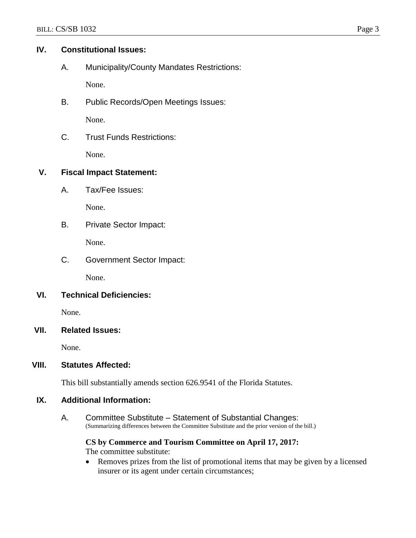## **IV. Constitutional Issues:**

A. Municipality/County Mandates Restrictions:

None.

B. Public Records/Open Meetings Issues:

None.

C. Trust Funds Restrictions:

None.

## **V. Fiscal Impact Statement:**

A. Tax/Fee Issues:

None.

B. Private Sector Impact:

None.

C. Government Sector Impact:

None.

## **VI. Technical Deficiencies:**

None.

## **VII. Related Issues:**

None.

## **VIII. Statutes Affected:**

This bill substantially amends section 626.9541 of the Florida Statutes.

## **IX. Additional Information:**

A. Committee Substitute – Statement of Substantial Changes: (Summarizing differences between the Committee Substitute and the prior version of the bill.)

**CS by Commerce and Tourism Committee on April 17, 2017:** The committee substitute:

 Removes prizes from the list of promotional items that may be given by a licensed insurer or its agent under certain circumstances;